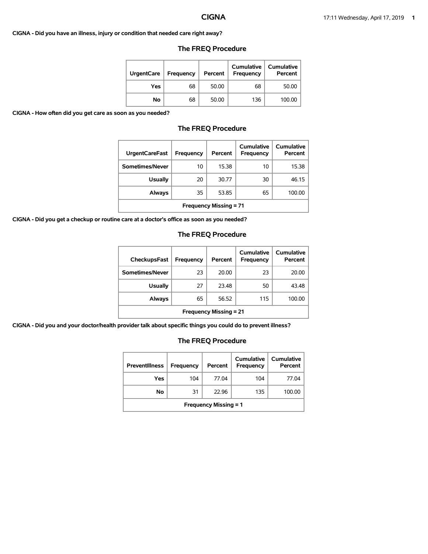### **CIGNA - Did you have an illness, injury or condition that needed care right away?**

| <b>UrgentCare</b> | <b>Frequency</b> | Percent | <b>Cumulative</b><br><b>Frequency</b> | <b>Cumulative</b><br>Percent |
|-------------------|------------------|---------|---------------------------------------|------------------------------|
| Yes               | 68               | 50.00   | 68                                    | 50.00                        |
| No                | 68               | 50.00   | 136                                   | 100.00                       |

# **The FREQ Procedure**

**CIGNA - How often did you get care as soon as you needed?**

# **The FREQ Procedure**

| <b>UrgentCareFast</b>         | Frequency | Percent | Cumulative<br>Frequency | Cumulative<br>Percent |
|-------------------------------|-----------|---------|-------------------------|-----------------------|
| Sometimes/Never               | 10        | 15.38   | 10                      | 15.38                 |
| <b>Usually</b>                | 20        | 30.77   | 30                      | 46.15                 |
| <b>Always</b>                 | 35        | 53.85   | 65                      | 100.00                |
| <b>Frequency Missing = 71</b> |           |         |                         |                       |

**CIGNA - Did you get a checkup or routine care at a doctor's office as soon as you needed?**

# **The FREQ Procedure**

| <b>CheckupsFast</b>           | Frequency | Percent | Cumulative<br>Frequency | Cumulative<br>Percent |
|-------------------------------|-----------|---------|-------------------------|-----------------------|
| Sometimes/Never               | 23        | 20.00   | 23                      | 20.00                 |
| <b>Usually</b>                | 27        | 23.48   | 50                      | 43.48                 |
| Always                        | 65        | 56.52   | 115                     | 100.00                |
| <b>Frequency Missing = 21</b> |           |         |                         |                       |

**CIGNA - Did you and your doctor/health provider talk about specific things you could do to prevent illness?**

| <b>Preventillness</b>        | Frequency | Percent | Cumulative<br>Frequency | Cumulative<br>Percent |
|------------------------------|-----------|---------|-------------------------|-----------------------|
| Yes                          | 104       | 77.04   | 104                     | 77.04                 |
| No                           | 31        | 22.96   | 135                     | 100.00                |
| <b>Frequency Missing = 1</b> |           |         |                         |                       |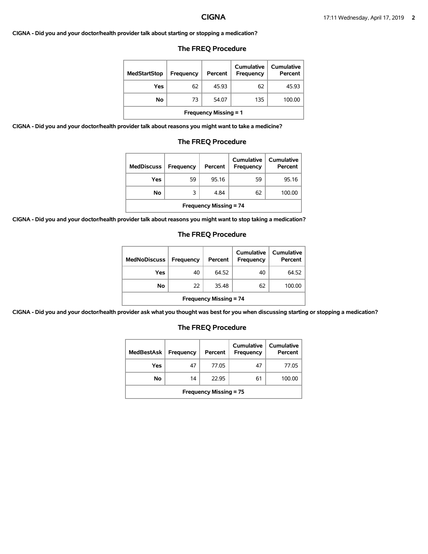## **CIGNA - Did you and your doctor/health provider talk about starting or stopping a medication?**

# **The FREQ Procedure**

| <b>MedStartStop</b>          | Frequency | Percent | Cumulative<br>Frequency | Cumulative<br>Percent |
|------------------------------|-----------|---------|-------------------------|-----------------------|
| Yes                          | 62        | 45.93   | 62                      | 45.93                 |
| No                           | 73        | 54.07   | 135                     | 100.00                |
| <b>Frequency Missing = 1</b> |           |         |                         |                       |

**CIGNA - Did you and your doctor/health provider talk about reasons you might want to take a medicine?**

# **The FREQ Procedure**

| <b>MedDiscuss</b>             | Frequency | Percent | Cumulative<br>Frequency | Cumulative<br>Percent |
|-------------------------------|-----------|---------|-------------------------|-----------------------|
| Yes                           | 59        | 95.16   | 59                      | 95.16                 |
| <b>No</b>                     | 3         | 4.84    | 62                      | 100.00                |
| <b>Frequency Missing = 74</b> |           |         |                         |                       |

**CIGNA - Did you and your doctor/health provider talk about reasons you might want to stop taking a medication?**

## **The FREQ Procedure**

| <b>MedNoDiscuss</b>           | <b>Frequency</b> | Percent | Cumulative<br>Frequency | <b>Cumulative</b><br>Percent |
|-------------------------------|------------------|---------|-------------------------|------------------------------|
| Yes                           | 40               | 64.52   | 40                      | 64.52                        |
| No                            | 22               | 35.48   | 62                      | 100.00                       |
| <b>Frequency Missing = 74</b> |                  |         |                         |                              |

**CIGNA - Did you and your doctor/health provider ask what you thought was best for you when discussing starting or stopping a medication?**

| <b>MedBestAsk</b>             | Frequency | Percent | Cumulative<br>Frequency | Cumulative<br>Percent |  |
|-------------------------------|-----------|---------|-------------------------|-----------------------|--|
| Yes                           | 47        | 77.05   | 47                      | 77.05                 |  |
| No                            | 14        | 22.95   | 61                      | 100.00                |  |
| <b>Frequency Missing = 75</b> |           |         |                         |                       |  |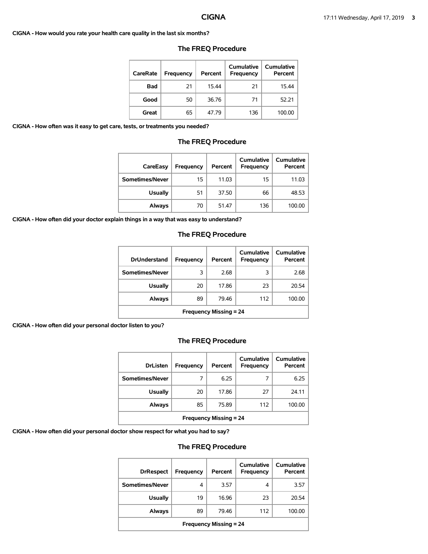**CIGNA - How would you rate your health care quality in the last six months?**

| CareRate   | Frequency | Percent | Cumulative<br>Frequency | Cumulative<br>Percent |
|------------|-----------|---------|-------------------------|-----------------------|
| <b>Bad</b> | 21        | 15.44   | 21                      | 15.44                 |
| Good       | 50        | 36.76   | 71                      | 52.21                 |
| Great      | 65        | 47.79   | 136                     | 100.00                |

# **The FREQ Procedure**

**CIGNA - How often was it easy to get care, tests, or treatments you needed?**

### **The FREQ Procedure**

| CareEasy        | Frequency | Percent | Cumulative<br><b>Frequency</b> | <b>Cumulative</b><br>Percent |
|-----------------|-----------|---------|--------------------------------|------------------------------|
| Sometimes/Never | 15        | 11.03   | 15                             | 11.03                        |
| <b>Usually</b>  | 51        | 37.50   | 66                             | 48.53                        |
| Always          | 70        | 51.47   | 136                            | 100.00                       |

**CIGNA - How often did your doctor explain things in a way that was easy to understand?**

# **The FREQ Procedure**

| <b>DrUnderstand</b>           | Frequency | Percent | Cumulative<br>Frequency | Cumulative<br>Percent |
|-------------------------------|-----------|---------|-------------------------|-----------------------|
| Sometimes/Never               | 3         | 2.68    | 3                       | 2.68                  |
| <b>Usually</b>                | 20        | 17.86   | 23                      | 20.54                 |
| Always                        | 89        | 79.46   | 112                     | 100.00                |
| <b>Frequency Missing = 24</b> |           |         |                         |                       |

**CIGNA - How often did your personal doctor listen to you?**

# **The FREQ Procedure**

| <b>DrListen</b>               | Frequency | Percent | Cumulative<br>Frequency | <b>Cumulative</b><br>Percent |
|-------------------------------|-----------|---------|-------------------------|------------------------------|
| Sometimes/Never               |           | 6.25    |                         | 6.25                         |
| <b>Usually</b>                | 20        | 17.86   | 27                      | 24.11                        |
| Always                        | 85        | 75.89   | 112                     | 100.00                       |
| <b>Frequency Missing = 24</b> |           |         |                         |                              |

**CIGNA - How often did your personal doctor show respect for what you had to say?**

| <b>DrRespect</b>              | Frequency | Percent | Cumulative<br><b>Frequency</b> | Cumulative<br>Percent |  |
|-------------------------------|-----------|---------|--------------------------------|-----------------------|--|
| Sometimes/Never               | 4         | 3.57    | 4                              | 3.57                  |  |
| <b>Usually</b>                | 19        | 16.96   | 23                             | 20.54                 |  |
| Always                        | 89        | 79.46   | 112                            | 100.00                |  |
| <b>Frequency Missing = 24</b> |           |         |                                |                       |  |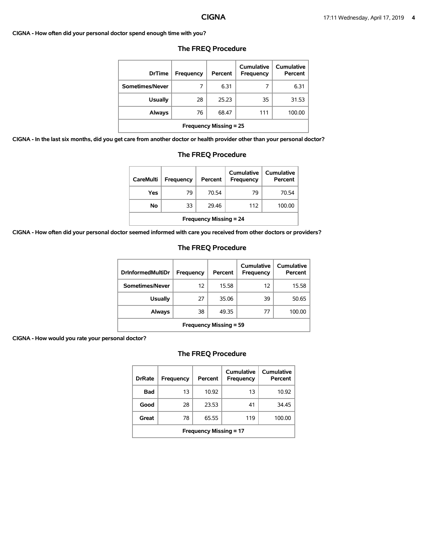### **CIGNA - How often did your personal doctor spend enough time with you?**

| <b>DrTime</b>                 | Frequency | Percent | Cumulative<br><b>Frequency</b> | Cumulative<br>Percent |  |
|-------------------------------|-----------|---------|--------------------------------|-----------------------|--|
| Sometimes/Never               | 7         | 6.31    | 7                              | 6.31                  |  |
| <b>Usually</b>                | 28        | 25.23   | 35                             | 31.53                 |  |
| <b>Always</b>                 | 76        | 68.47   | 111                            | 100.00                |  |
| <b>Frequency Missing = 25</b> |           |         |                                |                       |  |

## **The FREQ Procedure**

**CIGNA - In the last six months, did you get care from another doctor or health provider other than your personal doctor?**

| care from another doctor or health provider other than your personal |    |                               |     |        |  |
|----------------------------------------------------------------------|----|-------------------------------|-----|--------|--|
|                                                                      |    | <b>Frequency Missing = 25</b> |     |        |  |
| Always                                                               | 76 | 68.47                         | 111 | 100.00 |  |
| <b>Usually</b>                                                       | 28 | 25.23                         | 35  | 31.53  |  |
| Sometimes/Never                                                      |    | 6.31                          |     | 6.31   |  |

## **The FREQ Procedure**

| <b>CareMulti</b>              | <b>Frequency</b> | Percent | Cumulative<br><b>Frequency</b> | Cumulative<br>Percent |  |
|-------------------------------|------------------|---------|--------------------------------|-----------------------|--|
| Yes                           | 79               | 70.54   | 79                             | 70.54                 |  |
| Νo                            | 33               | 29.46   | 112                            | 100.00                |  |
| <b>Frequency Missing = 24</b> |                  |         |                                |                       |  |

**CIGNA - How often did your personal doctor seemed informed with care you received from other doctors or providers?**

### **The FREQ Procedure**

| <b>DrInformedMultiDr</b>      | Frequency | Percent | Cumulative<br>Frequency | Cumulative<br>Percent |  |
|-------------------------------|-----------|---------|-------------------------|-----------------------|--|
| Sometimes/Never               | 12        | 15.58   | 12                      | 15.58                 |  |
| Usually                       | 27        | 35.06   | 39                      | 50.65                 |  |
| Always                        | 38        | 49.35   | 77                      | 100.00                |  |
| <b>Frequency Missing = 59</b> |           |         |                         |                       |  |

## **CIGNA - How would you rate your personal doctor?**

| <b>DrRate</b>                 | Frequency | Percent | Cumulative<br>Frequency | Cumulative<br>Percent |  |
|-------------------------------|-----------|---------|-------------------------|-----------------------|--|
| Bad                           | 13        | 10.92   | 13                      | 10.92                 |  |
| Good                          | 28        | 23.53   | 41                      | 34.45                 |  |
| Great                         | 78        | 65.55   | 119                     | 100.00                |  |
| <b>Frequency Missing = 17</b> |           |         |                         |                       |  |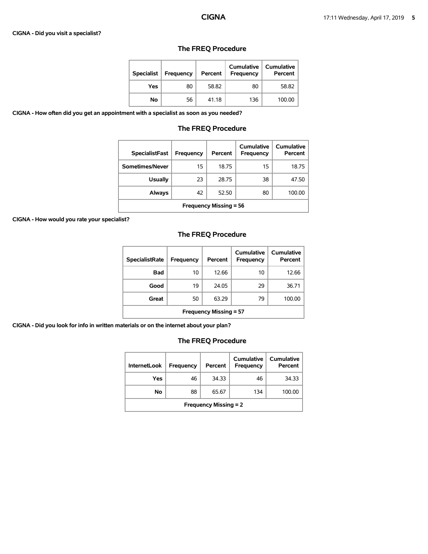### **CIGNA - Did you visit a specialist?**

| <b>Specialist</b> | <b>Frequency</b> | Percent | <b>Cumulative</b><br><b>Frequency</b> | Cumulative<br>Percent |
|-------------------|------------------|---------|---------------------------------------|-----------------------|
| Yes               | 80               | 58.82   | 80                                    | 58.82                 |
| No                | 56               | 41.18   | 136                                   | 100.00                |

# **The FREQ Procedure**

**CIGNA - How often did you get an appointment with a specialist as soon as you needed?**

# **The FREQ Procedure**

| <b>SpecialistFast</b>         | Frequency | Percent | <b>Cumulative</b><br>Frequency | Cumulative<br>Percent |  |
|-------------------------------|-----------|---------|--------------------------------|-----------------------|--|
| Sometimes/Never               | 15        | 18.75   | 15                             | 18.75                 |  |
| <b>Usually</b>                | 23        | 28.75   | 38                             | 47.50                 |  |
| Always                        | 42        | 52.50   | 80                             | 100.00                |  |
| <b>Frequency Missing = 56</b> |           |         |                                |                       |  |

**CIGNA - How would you rate your specialist?**

# **The FREQ Procedure**

| <b>SpecialistRate</b>         | Frequency | Percent | Cumulative<br>Frequency | Cumulative<br>Percent |  |
|-------------------------------|-----------|---------|-------------------------|-----------------------|--|
| Bad                           | 10        | 12.66   | 10                      | 12.66                 |  |
| Good                          | 19        | 24.05   | 29                      | 36.71                 |  |
| Great                         | 50        | 63.29   | 79                      | 100.00                |  |
| <b>Frequency Missing = 57</b> |           |         |                         |                       |  |

**CIGNA - Did you look for info in written materials or on the internet about your plan?**

| <b>InternetLook</b>          | Frequency | Percent | Cumulative<br>Frequency | <b>Cumulative</b><br>Percent |  |
|------------------------------|-----------|---------|-------------------------|------------------------------|--|
| Yes                          | 46        | 34.33   | 46                      | 34.33                        |  |
| No                           | 88        | 65.67   | 134                     | 100.00                       |  |
| <b>Frequency Missing = 2</b> |           |         |                         |                              |  |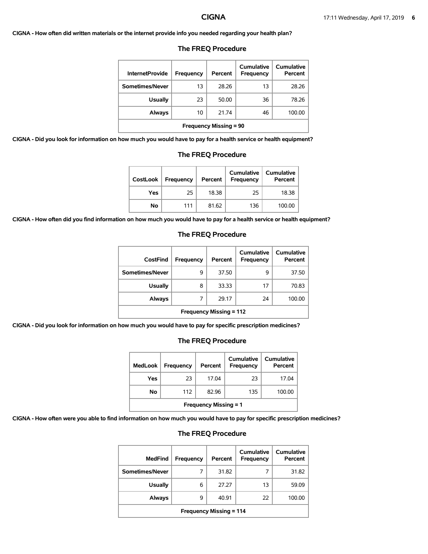### **CIGNA - How often did written materials or the internet provide info you needed regarding your health plan?**

| <b>InternetProvide</b>        | Frequency | Percent | Cumulative<br>Frequency | <b>Cumulative</b><br>Percent |  |
|-------------------------------|-----------|---------|-------------------------|------------------------------|--|
| Sometimes/Never               | 13        | 28.26   | 13                      | 28.26                        |  |
| <b>Usually</b>                | 23        | 50.00   | 36                      | 78.26                        |  |
| Always                        | 10        | 21.74   | 46                      | 100.00                       |  |
| <b>Frequency Missing = 90</b> |           |         |                         |                              |  |

### **The FREQ Procedure**

**CIGNA - Did you look for information on how much you would have to pay for a health service or health equipment?**

# **The FREQ Procedure Cumulative Cumulative**

| CostLook | Frequency | Percent | Cumulative<br>Frequency | <b>Cumulative</b><br>Percent |
|----------|-----------|---------|-------------------------|------------------------------|
| Yes      | 25        | 18.38   | 25                      | 18.38                        |
| Νo       | 111       | 81.62   | 136                     | 100.00                       |

**CIGNA - How often did you find information on how much you would have to pay for a health service or health equipment?**

### **The FREQ Procedure**

| CostFind                       | <b>Frequency</b> | Percent | Cumulative<br>Frequency | <b>Cumulative</b><br>Percent |  |
|--------------------------------|------------------|---------|-------------------------|------------------------------|--|
| Sometimes/Never                | 9                | 37.50   | 9                       | 37.50                        |  |
| <b>Usually</b>                 | 8                | 33.33   | 17                      | 70.83                        |  |
| <b>Always</b>                  | 7                | 29.17   | 24                      | 100.00                       |  |
| <b>Frequency Missing = 112</b> |                  |         |                         |                              |  |

**CIGNA - Did you look for information on how much you would have to pay for specific prescription medicines?**

# **The FREQ Procedure**

| <b>MedLook</b>               | <b>Frequency</b> | Percent | Cumulative<br><b>Frequency</b> | Cumulative<br>Percent |  |
|------------------------------|------------------|---------|--------------------------------|-----------------------|--|
| Yes                          | 23               | 17.04   | 23                             | 17.04                 |  |
| No                           | 112              | 82.96   | 135                            | 100.00                |  |
| <b>Frequency Missing = 1</b> |                  |         |                                |                       |  |

**CIGNA - How often were you able to find information on how much you would have to pay for specific prescription medicines?**

| MedFind                        | Frequency | Percent | Cumulative<br>Frequency | Cumulative<br>Percent |  |
|--------------------------------|-----------|---------|-------------------------|-----------------------|--|
| Sometimes/Never                | 7         | 31.82   |                         | 31.82                 |  |
| <b>Usually</b>                 | 6         | 27.27   | 13                      | 59.09                 |  |
| Always                         | 9         | 40.91   | 22                      | 100.00                |  |
| <b>Frequency Missing = 114</b> |           |         |                         |                       |  |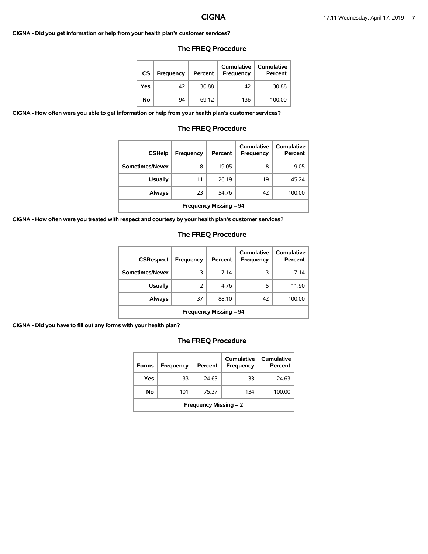### **CIGNA - Did you get information or help from your health plan's customer services?**

# **The FREQ Procedure**

| CS  | <b>Frequency</b> | Percent | Cumulative<br>Frequency | <b>Cumulative</b><br>Percent |
|-----|------------------|---------|-------------------------|------------------------------|
| Yes | 42               | 30.88   | 42                      | 30.88                        |
| No  | 94               | 69.12   | 136                     | 100.00                       |

**CIGNA - How often were you able to get information or help from your health plan's customer services?**

# **The FREQ Procedure**

| <b>CSHelp</b>                 | Frequency | Percent | Cumulative<br>Frequency | <b>Cumulative</b><br>Percent |  |
|-------------------------------|-----------|---------|-------------------------|------------------------------|--|
| Sometimes/Never               | 8         | 19.05   | 8                       | 19.05                        |  |
| <b>Usually</b>                | 11        | 26.19   | 19                      | 45.24                        |  |
| Always                        | 23        | 54.76   | 42                      | 100.00                       |  |
| <b>Frequency Missing = 94</b> |           |         |                         |                              |  |

**CIGNA - How often were you treated with respect and courtesy by your health plan's customer services?**

# **The FREQ Procedure**

| <b>CSRespect</b>              | Frequency | Percent | Cumulative<br><b>Frequency</b> | <b>Cumulative</b><br>Percent |  |
|-------------------------------|-----------|---------|--------------------------------|------------------------------|--|
| Sometimes/Never               | 3         | 7.14    | 3                              | 7.14                         |  |
| <b>Usually</b>                | 2         | 4.76    | 5                              | 11.90                        |  |
| Always                        | 37        | 88.10   | 42                             | 100.00                       |  |
| <b>Frequency Missing = 94</b> |           |         |                                |                              |  |

**CIGNA - Did you have to fill out any forms with your health plan?**

| <b>Forms</b>                 | Frequency | Percent | Cumulative<br>Frequency | <b>Cumulative</b><br>Percent |  |
|------------------------------|-----------|---------|-------------------------|------------------------------|--|
| Yes                          | 33        | 24.63   | 33                      | 24.63                        |  |
| No                           | 101       | 75.37   | 134                     | 100.00                       |  |
| <b>Frequency Missing = 2</b> |           |         |                         |                              |  |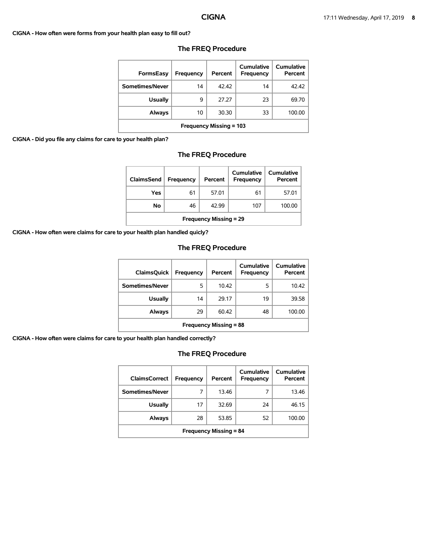### **CIGNA - How often were forms from your health plan easy to fill out?**

| <b>FormsEasy</b>               | Frequency | Percent | Cumulative<br>Frequency | Cumulative<br>Percent |
|--------------------------------|-----------|---------|-------------------------|-----------------------|
| Sometimes/Never                | 14        | 42.42   | 14                      | 42.42                 |
| <b>Usually</b>                 | 9         | 27.27   | 23                      | 69.70                 |
| Always                         | 10        | 30.30   | 33                      | 100.00                |
| <b>Frequency Missing = 103</b> |           |         |                         |                       |

# **The FREQ Procedure**

## **CIGNA - Did you file any claims for care to your health plan?**

## **The FREQ Procedure**

| <b>ClaimsSend</b>             | <b>Frequency</b> | Percent | <b>Cumulative</b><br>Frequency | Cumulative<br>Percent |  |
|-------------------------------|------------------|---------|--------------------------------|-----------------------|--|
| Yes                           | 61               | 57.01   | 61                             | 57.01                 |  |
| No                            | 46               | 42.99   | 107                            | 100.00                |  |
| <b>Frequency Missing = 29</b> |                  |         |                                |                       |  |

**CIGNA - How often were claims for care to your health plan handled quicly?**

# **The FREQ Procedure**

| <b>ClaimsQuick</b>            | Frequency | Percent | Cumulative<br>Frequency | Cumulative<br>Percent |  |
|-------------------------------|-----------|---------|-------------------------|-----------------------|--|
| Sometimes/Never               | 5         | 10.42   | 5                       | 10.42                 |  |
| <b>Usually</b>                | 14        | 29.17   | 19                      | 39.58                 |  |
| Always                        | 29        | 60.42   | 48                      | 100.00                |  |
| <b>Frequency Missing = 88</b> |           |         |                         |                       |  |

**CIGNA - How often were claims for care to your health plan handled correctly?**

| <b>ClaimsCorrect</b>          | Frequency | Percent | Cumulative<br>Frequency | Cumulative<br>Percent |  |
|-------------------------------|-----------|---------|-------------------------|-----------------------|--|
| Sometimes/Never               |           | 13.46   | 7                       | 13.46                 |  |
| <b>Usually</b>                | 17        | 32.69   | 24                      | 46.15                 |  |
| Always                        | 28        | 53.85   | 52                      | 100.00                |  |
| <b>Frequency Missing = 84</b> |           |         |                         |                       |  |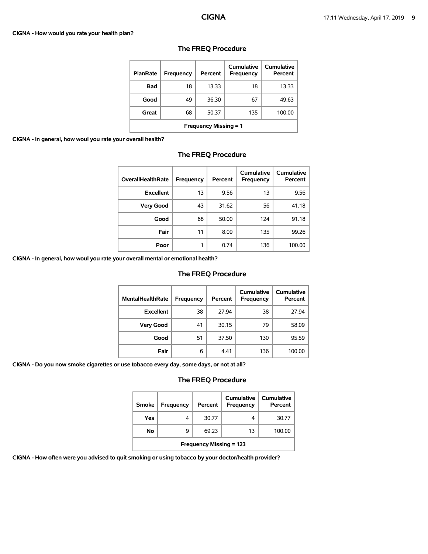### **CIGNA - How would you rate your health plan?**

| <b>PlanRate</b>              | Frequency | Percent | <b>Cumulative</b><br>Frequency | <b>Cumulative</b><br>Percent |  |
|------------------------------|-----------|---------|--------------------------------|------------------------------|--|
| <b>Bad</b>                   | 18        | 13.33   | 18                             | 13.33                        |  |
| Good                         | 49        | 36.30   | 67                             | 49.63                        |  |
| Great                        | 68        | 50.37   | 135                            | 100.00                       |  |
| <b>Frequency Missing = 1</b> |           |         |                                |                              |  |

# **The FREQ Procedure**

**CIGNA - In general, how woul you rate your of** 

| <b>Bad</b>                   | 18 | 13.33 | 18  | 13.33  |  |  |
|------------------------------|----|-------|-----|--------|--|--|
| Good                         | 49 | 36.30 | 67  | 49.63  |  |  |
| Great                        | 68 | 50.37 | 135 | 100.00 |  |  |
| <b>Frequency Missing = 1</b> |    |       |     |        |  |  |
| verall health?               |    |       |     |        |  |  |
| <b>The FREQ Procedure</b>    |    |       |     |        |  |  |

| <b>OverallHealthRate</b> | <b>Frequency</b> | Percent | <b>Cumulative</b><br><b>Frequency</b> | <b>Cumulative</b><br>Percent |
|--------------------------|------------------|---------|---------------------------------------|------------------------------|
| <b>Excellent</b>         | 13               | 9.56    | 13                                    | 9.56                         |
| <b>Very Good</b>         | 43               | 31.62   | 56                                    | 41.18                        |
| Good                     | 68               | 50.00   | 124                                   | 91.18                        |
| Fair                     | 11               | 8.09    | 135                                   | 99.26                        |
| Poor                     | 1                | 0.74    | 136                                   | 100.00                       |

**CIGNA - In general, how woul you rate your overall mental or emotional health?**

# **The FREQ Procedure**

| <b>MentalHealthRate</b> | Frequency | Percent | <b>Cumulative</b><br>Frequency | <b>Cumulative</b><br>Percent |
|-------------------------|-----------|---------|--------------------------------|------------------------------|
| <b>Excellent</b>        | 38        | 27.94   | 38                             | 27.94                        |
| <b>Very Good</b>        | 41        | 30.15   | 79                             | 58.09                        |
| Good                    | 51        | 37.50   | 130                            | 95.59                        |
| Fair                    | 6         | 4.41    | 136                            | 100.00                       |

**CIGNA - Do you now smoke cigarettes or use tobacco every day, some days, or not at all?**

# **The FREQ Procedure**

| <b>Smoke</b>                   | <b>Frequency</b> | Percent | Cumulative<br>Frequency | Cumulative<br>Percent |  |
|--------------------------------|------------------|---------|-------------------------|-----------------------|--|
| Yes                            | 4                | 30.77   | 4                       | 30.77                 |  |
| Νo                             | 9                | 69.23   | 13                      | 100.00                |  |
| <b>Frequency Missing = 123</b> |                  |         |                         |                       |  |

**CIGNA - How often were you advised to quit smoking or using tobacco by your doctor/health provider?**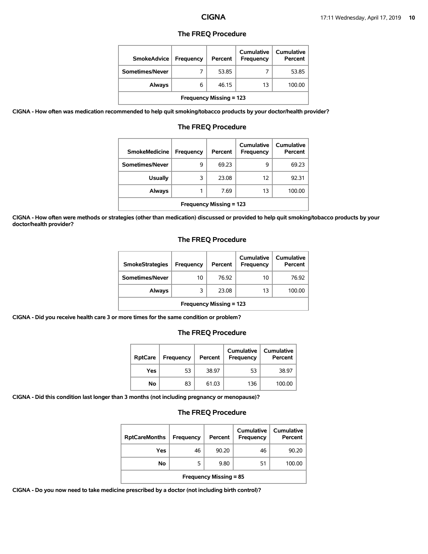### **The FREQ Procedure**

| <b>SmokeAdvice</b>             | Frequency | Percent | <b>Cumulative</b><br>Frequency | Cumulative<br>Percent |  |  |
|--------------------------------|-----------|---------|--------------------------------|-----------------------|--|--|
| Sometimes/Never                |           | 53.85   |                                | 53.85                 |  |  |
| Always                         | 6         | 46.15   | 13                             | 100.00                |  |  |
| <b>Frequency Missing = 123</b> |           |         |                                |                       |  |  |

**CIGNA - How often was medication recommended to help quit smoking/tobacco products by your doctor/health provider?**

| <b>SmokeMedicine</b>           | <b>Frequency</b> | Percent | Cumulative<br>Frequency | Cumulative<br>Percent |  |
|--------------------------------|------------------|---------|-------------------------|-----------------------|--|
| Sometimes/Never                | 9                | 69.23   | 9                       | 69.23                 |  |
| <b>Usually</b>                 | 3                | 23.08   | 12                      | 92.31                 |  |
| Always                         | 1                | 7.69    | 13                      | 100.00                |  |
| <b>Frequency Missing = 123</b> |                  |         |                         |                       |  |

## **The FREQ Procedure**

**CIGNA - How often were methods or strategies (other than medication) discussed or provided to help quit smoking/tobacco products by your doctor/health provider?**

# **The FREQ Procedure**

| <b>SmokeStrategies</b>         | Frequency | Percent | Cumulative<br><b>Frequency</b> | Cumulative<br>Percent |  |
|--------------------------------|-----------|---------|--------------------------------|-----------------------|--|
| Sometimes/Never                | 10        | 76.92   | 10                             | 76.92                 |  |
| Always                         | 3         | 23.08   | 13                             | 100.00                |  |
| <b>Frequency Missing = 123</b> |           |         |                                |                       |  |

**CIGNA - Did you receive health care 3 or more times for the same condition or problem?**

### **The FREQ Procedure**

| <b>RptCare</b> | Frequency | Percent | Cumulative<br>Frequency | Cumulative<br>Percent |
|----------------|-----------|---------|-------------------------|-----------------------|
| Yes            | 53        | 38.97   | 53                      | 38.97                 |
| No             | 83        | 61.03   | 136                     | 100.00                |

**CIGNA - Did this condition last longer than 3 months (not including pregnancy or menopause)?**

## **The FREQ Procedure**

| <b>RptCareMonths</b>          | Frequency | Percent | Cumulative<br>Frequency | <b>Cumulative</b><br>Percent |  |  |
|-------------------------------|-----------|---------|-------------------------|------------------------------|--|--|
| Yes                           | 46        | 90.20   | 46                      | 90.20                        |  |  |
| No                            | 5         | 9.80    | 51                      | 100.00                       |  |  |
| <b>Frequency Missing = 85</b> |           |         |                         |                              |  |  |

**CIGNA - Do you now need to take medicine prescribed by a doctor (not including birth control)?**